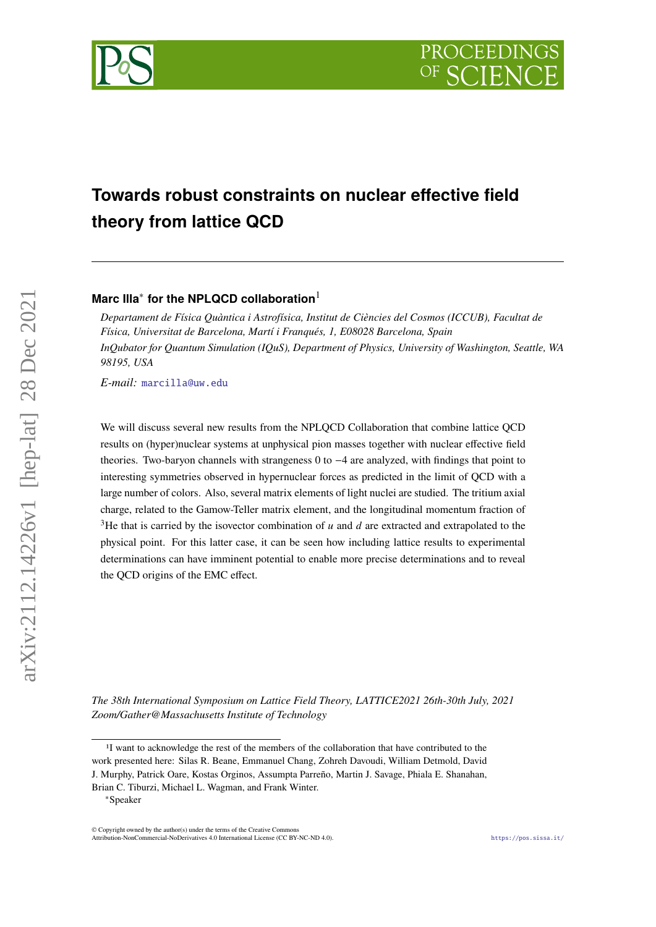

# **Towards robust constraints on nuclear effective field theory from lattice QCD**

**Marc Illa**<sup>∗</sup> **for the NPLQCD collaboration**<sup>1</sup>

*Departament de Física Quàntica i Astrofísica, Institut de Ciències del Cosmos (ICCUB), Facultat de Física, Universitat de Barcelona, Martí i Franqués, 1, E08028 Barcelona, Spain InQubator for Quantum Simulation (IQuS), Department of Physics, University of Washington, Seattle, WA 98195, USA*

*E-mail:* [marcilla@uw.edu](mailto:marcilla@uw.edu)

We will discuss several new results from the NPLQCD Collaboration that combine lattice QCD results on (hyper)nuclear systems at unphysical pion masses together with nuclear effective field theories. Two-baryon channels with strangeness 0 to −4 are analyzed, with findings that point to interesting symmetries observed in hypernuclear forces as predicted in the limit of QCD with a large number of colors. Also, several matrix elements of light nuclei are studied. The tritium axial charge, related to the Gamow-Teller matrix element, and the longitudinal momentum fraction of <sup>3</sup>He that is carried by the isovector combination of  $u$  and  $d$  are extracted and extrapolated to the physical point. For this latter case, it can be seen how including lattice results to experimental determinations can have imminent potential to enable more precise determinations and to reveal the QCD origins of the EMC effect.

*The 38th International Symposium on Lattice Field Theory, LATTICE2021 26th-30th July, 2021 Zoom/Gather@Massachusetts Institute of Technology*

<sup>&</sup>lt;sup>1</sup>I want to acknowledge the rest of the members of the collaboration that have contributed to the work presented here: Silas R. Beane, Emmanuel Chang, Zohreh Davoudi, William Detmold, David J. Murphy, Patrick Oare, Kostas Orginos, Assumpta Parreño, Martin J. Savage, Phiala E. Shanahan, Brian C. Tiburzi, Michael L. Wagman, and Frank Winter.

<sup>∗</sup>Speaker

<sup>©</sup> Copyright owned by the author(s) under the terms of the Creative Common Attribution-NonCommercial-NoDerivatives 4.0 International License (CC BY-NC-ND 4.0). <https://pos.sissa.it/>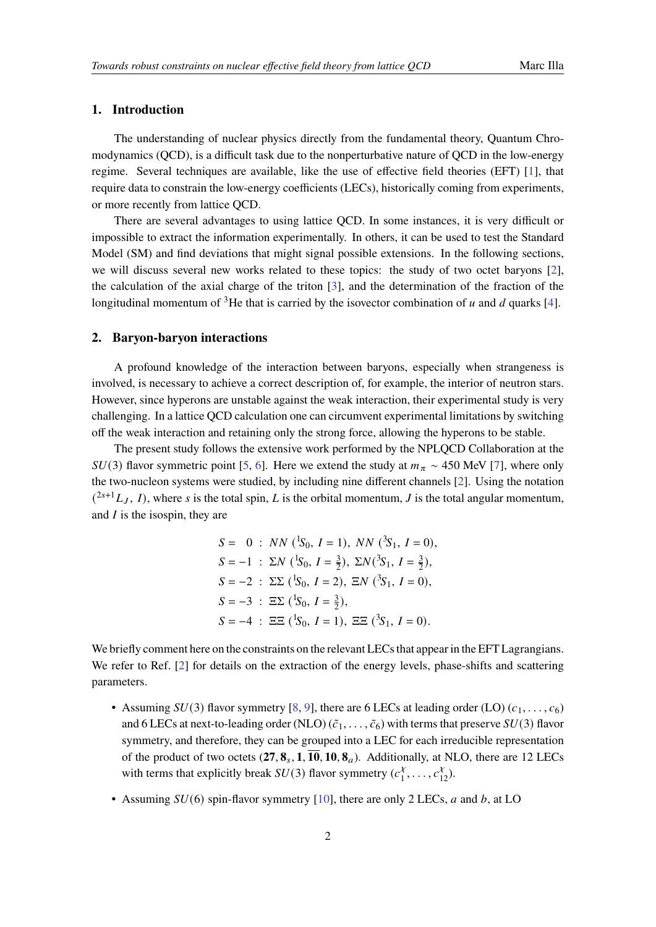## **1. Introduction**

The understanding of nuclear physics directly from the fundamental theory, Quantum Chromodynamics (QCD), is a difficult task due to the nonperturbative nature of QCD in the low-energy regime. Several techniques are available, like the use of effective field theories (EFT) [\[1\]](#page-6-0), that require data to constrain the low-energy coefficients (LECs), historically coming from experiments, or more recently from lattice QCD.

There are several advantages to using lattice QCD. In some instances, it is very difficult or impossible to extract the information experimentally. In others, it can be used to test the Standard Model (SM) and find deviations that might signal possible extensions. In the following sections, we will discuss several new works related to these topics: the study of two octet baryons [\[2\]](#page-6-1), the calculation of the axial charge of the triton [\[3\]](#page-6-2), and the determination of the fraction of the longitudinal momentum of <sup>3</sup>He that is carried by the isovector combination of  $u$  and  $d$  quarks [\[4\]](#page-6-3).

## **2. Baryon-baryon interactions**

A profound knowledge of the interaction between baryons, especially when strangeness is involved, is necessary to achieve a correct description of, for example, the interior of neutron stars. However, since hyperons are unstable against the weak interaction, their experimental study is very challenging. In a lattice QCD calculation one can circumvent experimental limitations by switching off the weak interaction and retaining only the strong force, allowing the hyperons to be stable.

The present study follows the extensive work performed by the NPLQCD Collaboration at the  $SU(3)$  flavor symmetric point [\[5,](#page-6-4) [6\]](#page-6-5). Here we extend the study at  $m<sub>\pi</sub> \sim 450$  MeV [\[7\]](#page-6-6), where only the two-nucleon systems were studied, by including nine different channels [\[2\]](#page-6-1). Using the notation  $(2s+1) L_J$ , I, where s is the total spin, L is the orbital momentum, J is the total angular momentum, and  $I$  is the isospin, they are

> $S = 0$ :  $NN$  (<sup>1</sup>S<sub>0</sub>, *I* = 1),  $NN$  (<sup>3</sup>S<sub>1</sub>, *I* = 0),  $S = -1$  :  $\Sigma N$  (<sup>1</sup>S<sub>0</sub>,  $I = \frac{3}{2}$  $(\frac{3}{2}), \ \Sigma N(^3S_1, I = \frac{3}{2})$  $(\frac{3}{2}),$  $S = -2$ :  $\Sigma \Sigma (\frac{1}{50}, I = 2), \Xi N (\frac{3}{51}, I = 0),$  $S = -3$ :  $\Xi \Sigma$  (<sup>1</sup>S<sub>0</sub>,  $I = \frac{3}{2}$ )  $(\frac{3}{2}),$  $S = -4$ :  $\Xi \Xi$  (<sup>1</sup>S<sub>0</sub>, *I* = 1),  $\Xi \Xi$  (<sup>3</sup>S<sub>1</sub>, *I* = 0).

We briefly comment here on the constraints on the relevant LECs that appear in the EFT Lagrangians. We refer to Ref. [\[2\]](#page-6-1) for details on the extraction of the energy levels, phase-shifts and scattering parameters.

- Assuming  $SU(3)$  flavor symmetry [\[8,](#page-6-7) [9\]](#page-6-8), there are 6 LECs at leading order (LO)  $(c_1, \ldots, c_6)$ and 6 LECs at next-to-leading order (NLO)  $(\tilde{c}_1, \ldots, \tilde{c}_6)$  with terms that preserve  $SU(3)$  flavor symmetry, and therefore, they can be grouped into a LEC for each irreducible representation of the product of two octets  $(27, 8_s, 1, \overline{10}, 10, 8_a)$ . Additionally, at NLO, there are 12 LECs with terms that explicitly break  $SU(3)$  flavor symmetry  $(c_1^{\lambda})$  $\frac{x}{1}, \ldots, c_{12}^x$ ).
- Assuming  $SU(6)$  spin-flavor symmetry [\[10\]](#page-6-9), there are only 2 LECs,  $a$  and  $b$ , at LO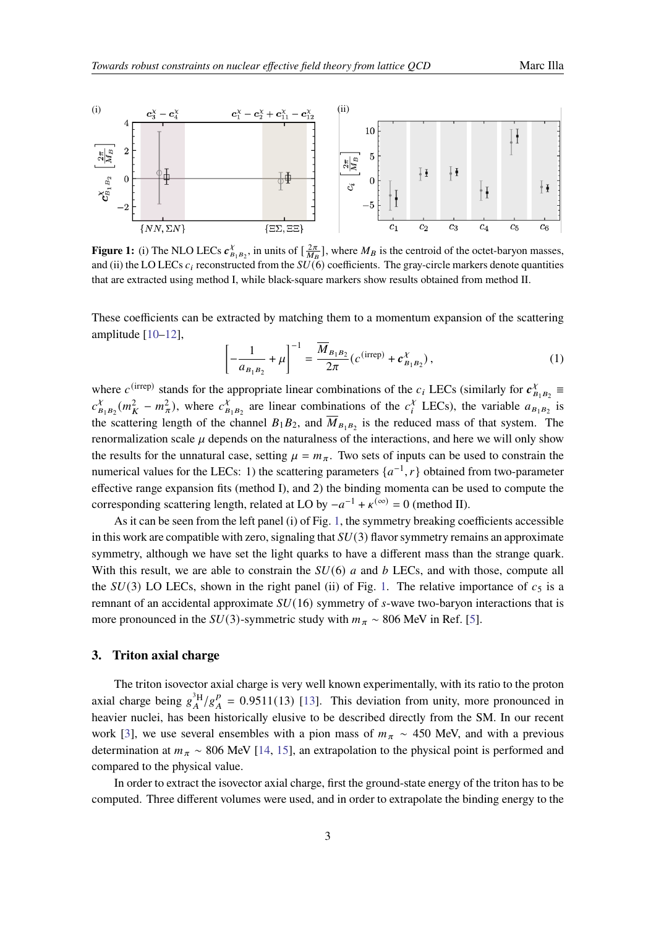<span id="page-2-0"></span>

**Figure 1:** (i) The NLO LECs  $c_B^{\chi}$  $\chi_{B_1B_2}$ , in units of  $\left[\frac{2\pi}{M_B}\right]$ , where  $M_B$  is the centroid of the octet-baryon masses, and (ii) the LO LECs  $c_i$  reconstructed from the  $SU(6)$  coefficients. The gray-circle markers denote quantities that are extracted using method I, while black-square markers show results obtained from method II.

These coefficients can be extracted by matching them to a momentum expansion of the scattering amplitude [\[10–](#page-6-9)[12\]](#page-6-10),

$$
\left[ -\frac{1}{a_{B_1 B_2}} + \mu \right]^{-1} = \frac{\overline{M}_{B_1 B_2}}{2\pi} \left( c^{(\text{irrep})} + c_{B_1 B_2}^{\chi} \right),\tag{1}
$$

where  $c^{(irrep)}$  stands for the appropriate linear combinations of the  $c_i$  LECs (similarly for  $c_B^{\chi}$  $\frac{\chi}{B_1B_2}$   $\equiv$  $c_{\rm b}^{\chi}$  $\chi_{B_1B_2}(m_K^2 - m_\pi^2)$ , where  $c_B^{\chi}$  $\sum_{B_1, B_2}^{\chi}$  are linear combinations of the  $c_i^{\chi}$  $\frac{\chi}{i}$  LECs), the variable  $a_{B_1B_2}$  is the scattering length of the channel  $B_1 B_2$ , and  $\overline{M}_{B_1 B_2}$  is the reduced mass of that system. The renormalization scale  $\mu$  depends on the naturalness of the interactions, and here we will only show the results for the unnatural case, setting  $\mu = m_{\pi}$ . Two sets of inputs can be used to constrain the numerical values for the LECs: 1) the scattering parameters  $\{a^{-1}, r\}$  obtained from two-parameter effective range expansion fits (method I), and 2) the binding momenta can be used to compute the corresponding scattering length, related at LO by  $-a^{-1} + \kappa^{(\infty)} = 0$  (method II).

As it can be seen from the left panel (i) of Fig. [1,](#page-2-0) the symmetry breaking coefficients accessible in this work are compatible with zero, signaling that  $SU(3)$  flavor symmetry remains an approximate symmetry, although we have set the light quarks to have a different mass than the strange quark. With this result, we are able to constrain the  $SU(6)$  a and b LECs, and with those, compute all the  $SU(3)$  LO LECs, shown in the right panel (ii) of Fig. [1.](#page-2-0) The relative importance of  $c_5$  is a remnant of an accidental approximate  $SU(16)$  symmetry of s-wave two-baryon interactions that is more pronounced in the  $SU(3)$ -symmetric study with  $m<sub>\pi</sub> \sim 806$  MeV in Ref. [\[5\]](#page-6-4).

## **3. Triton axial charge**

The triton isovector axial charge is very well known experimentally, with its ratio to the proton axial charge being  $g_A^{3H}/g_A^p$  $_{A}^{p}$  = 0.9511(13) [\[13\]](#page-6-11). This deviation from unity, more pronounced in heavier nuclei, has been historically elusive to be described directly from the SM. In our recent work [\[3\]](#page-6-2), we use several ensembles with a pion mass of  $m<sub>\pi</sub> \sim 450$  MeV, and with a previous determination at  $m_{\pi} \sim 806$  MeV [\[14,](#page-7-0) [15\]](#page-7-1), an extrapolation to the physical point is performed and compared to the physical value.

In order to extract the isovector axial charge, first the ground-state energy of the triton has to be computed. Three different volumes were used, and in order to extrapolate the binding energy to the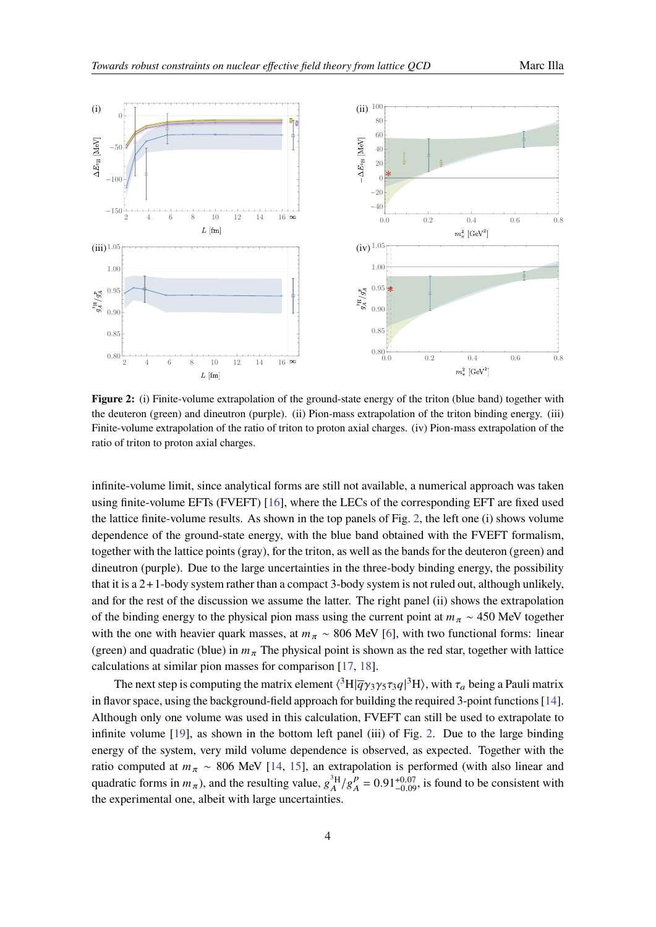<span id="page-3-0"></span>

**Figure 2:** (i) Finite-volume extrapolation of the ground-state energy of the triton (blue band) together with the deuteron (green) and dineutron (purple). (ii) Pion-mass extrapolation of the triton binding energy. (iii) Finite-volume extrapolation of the ratio of triton to proton axial charges. (iv) Pion-mass extrapolation of the ratio of triton to proton axial charges.

infinite-volume limit, since analytical forms are still not available, a numerical approach was taken using finite-volume EFTs (FVEFT) [\[16\]](#page-7-2), where the LECs of the corresponding EFT are fixed used the lattice finite-volume results. As shown in the top panels of Fig. [2,](#page-3-0) the left one (i) shows volume dependence of the ground-state energy, with the blue band obtained with the FVEFT formalism, together with the lattice points (gray), for the triton, as well as the bands for the deuteron (green) and dineutron (purple). Due to the large uncertainties in the three-body binding energy, the possibility that it is a 2+1-body system rather than a compact 3-body system is not ruled out, although unlikely, and for the rest of the discussion we assume the latter. The right panel (ii) shows the extrapolation of the binding energy to the physical pion mass using the current point at  $m_{\pi} \sim 450$  MeV together with the one with heavier quark masses, at  $m<sub>\pi</sub> \sim 806$  MeV [\[6\]](#page-6-5), with two functional forms: linear (green) and quadratic (blue) in  $m<sub>\pi</sub>$  The physical point is shown as the red star, together with lattice calculations at similar pion masses for comparison [\[17,](#page-7-3) [18\]](#page-7-4).

The next step is computing the matrix element  $\langle ^3H|\overline{q}\gamma_3\gamma_5\tau_3q|^3H\rangle$ , with  $\tau_a$  being a Pauli matrix in flavor space, using the background-field approach for building the required 3-point functions [\[14\]](#page-7-0). Although only one volume was used in this calculation, FVEFT can still be used to extrapolate to infinite volume [\[19\]](#page-7-5), as shown in the bottom left panel (iii) of Fig. [2.](#page-3-0) Due to the large binding energy of the system, very mild volume dependence is observed, as expected. Together with the ratio computed at  $m_{\pi} \sim 806$  MeV [\[14,](#page-7-0) [15\]](#page-7-1), an extrapolation is performed (with also linear and quadratic forms in  $m_{\pi}$ ), and the resulting value,  $g_A^{3H}/g_A^{\rho}$  $_{A}^{p} = 0.91_{-0.09}^{+0.07}$ , is found to be consistent with the experimental one, albeit with large uncertainties.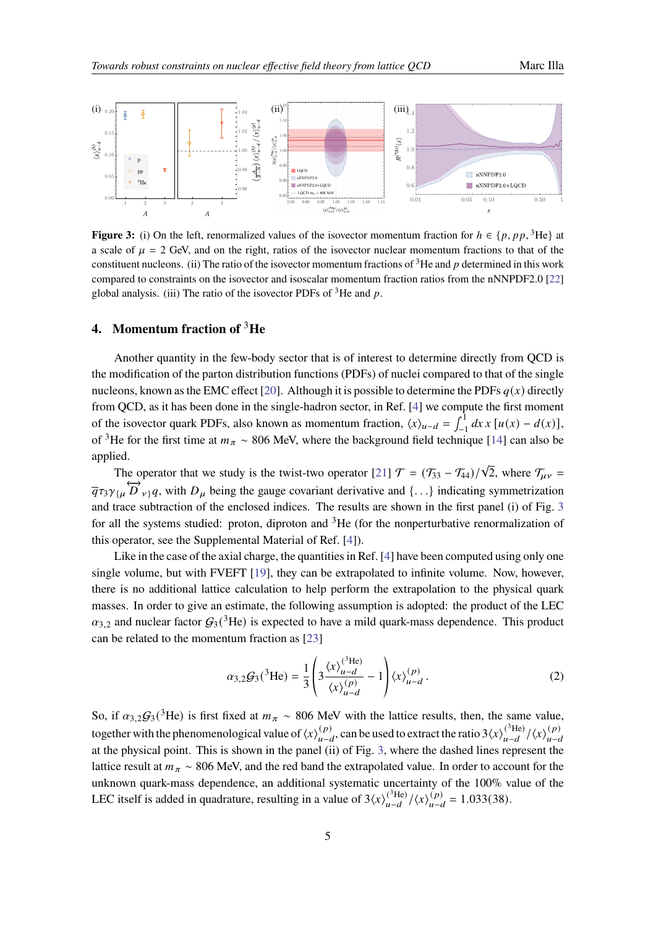<span id="page-4-0"></span>

**Figure 3:** (i) On the left, renormalized values of the isovector momentum fraction for  $h \in \{p, pp, \}^3$ He} at a scale of  $\mu = 2$  GeV, and on the right, ratios of the isovector nuclear momentum fractions to that of the constituent nucleons. (ii) The ratio of the isovector momentum fractions of  ${}^{3}$ He and p determined in this work compared to constraints on the isovector and isoscalar momentum fraction ratios from the nNNPDF2.0 [\[22\]](#page-7-6) global analysis. (iii) The ratio of the isovector PDFs of  ${}^{3}$ He and p.

## **4. Momentum fraction of** <sup>3</sup>**He**

Another quantity in the few-body sector that is of interest to determine directly from QCD is the modification of the parton distribution functions (PDFs) of nuclei compared to that of the single nucleons, known as the EMC effect [\[20\]](#page-7-7). Although it is possible to determine the PDFs  $q(x)$  directly from QCD, as it has been done in the single-hadron sector, in Ref. [\[4\]](#page-6-3) we compute the first moment of the isovector quark PDFs, also known as momentum fraction,  $\langle x \rangle_{u-d} = \int_{-1}^{1} dx x [u(x) - d(x)],$ of <sup>3</sup>He for the first time at  $m_{\pi} \sim 806$  MeV, where the background field technique [\[14\]](#page-7-0) can also be applied.

The operator that we study is the twist-two operator [\[21\]](#page-7-8)  $\mathcal{T} = (\mathcal{T}_{33} - \mathcal{T}_{44})/\sqrt{2}$ , where  $\mathcal{T}_{\mu\nu}$  $\overline{q} \tau_3 \gamma_{\{\mu}} \overleftrightarrow{D}_{\nu\}} q$ , with  $D_{\mu}$  being the gauge covariant derivative and {...} indicating symmetrization and trace subtraction of the enclosed indices. The results are shown in the first panel (i) of Fig. [3](#page-4-0) for all the systems studied: proton, diproton and  ${}^{3}$ He (for the nonperturbative renormalization of this operator, see the Supplemental Material of Ref. [\[4\]](#page-6-3)).

Like in the case of the axial charge, the quantities in Ref. [\[4\]](#page-6-3) have been computed using only one single volume, but with FVEFT [\[19\]](#page-7-5), they can be extrapolated to infinite volume. Now, however, there is no additional lattice calculation to help perform the extrapolation to the physical quark masses. In order to give an estimate, the following assumption is adopted: the product of the LEC  $\alpha_{3,2}$  and nuclear factor  $G_3(^3\text{He})$  is expected to have a mild quark-mass dependence. This product can be related to the momentum fraction as [\[23\]](#page-7-9)

$$
\alpha_{3,2}\mathcal{G}_3(^3\text{He}) = \frac{1}{3} \left( 3 \frac{\langle x \rangle_{u-d}^{(^3\text{He})}}{\langle x \rangle_{u-d}^{(p)}} - 1 \right) \langle x \rangle_{u-d}^{(p)}.
$$
 (2)

So, if  $\alpha_{3,2}\mathcal{G}_3(^3\text{He})$  is first fixed at  $m_\pi \sim 806$  MeV with the lattice results, then, the same value, together with the phenomenological value of  $\langle x \rangle_{n=0}^{(p)}$ (*p*)</sup>, can be used to extract the ratio 3 $\langle x \rangle_{u-d}^{(^{3}He)}$  $\frac{(\binom{3}{1}\text{He})}{u-d}/\langle x \rangle_{u-d}^{(p)}$  $u - d$ at the physical point. This is shown in the panel (ii) of Fig. [3,](#page-4-0) where the dashed lines represent the lattice result at  $m_{\pi} \sim 806$  MeV, and the red band the extrapolated value. In order to account for the unknown quark-mass dependence, an additional systematic uncertainty of the 100% value of the LEC itself is added in quadrature, resulting in a value of  $3\langle x \rangle_{n-d}^{(3\text{He})}$  $\frac{(\binom{3}{1}\text{He})}{u-d}/\left\langle x \right\rangle_{u-d}^{(p)}$  $\binom{(p)}{u-d} = 1.033(38).$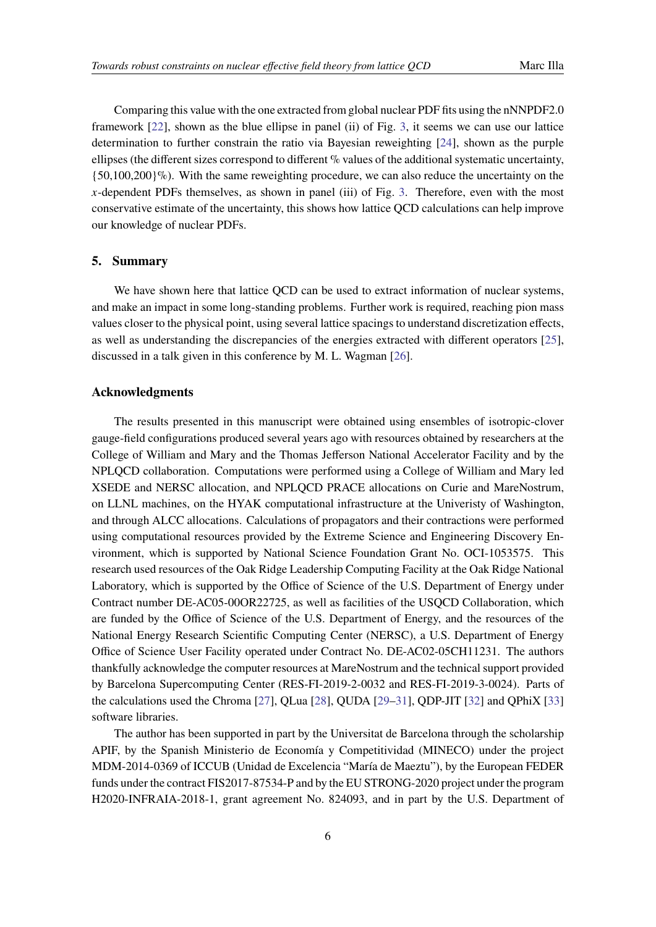Comparing this value with the one extracted from global nuclear PDF fits using the nNNPDF2.0 framework [\[22\]](#page-7-6), shown as the blue ellipse in panel (ii) of Fig. [3,](#page-4-0) it seems we can use our lattice determination to further constrain the ratio via Bayesian reweighting [\[24\]](#page-7-10), shown as the purple ellipses (the different sizes correspond to different  $\%$  values of the additional systematic uncertainty,  ${50,100,200}\%$ ). With the same reweighting procedure, we can also reduce the uncertainty on the  $x$ -dependent PDFs themselves, as shown in panel (iii) of Fig. [3.](#page-4-0) Therefore, even with the most conservative estimate of the uncertainty, this shows how lattice QCD calculations can help improve our knowledge of nuclear PDFs.

#### **5. Summary**

We have shown here that lattice QCD can be used to extract information of nuclear systems, and make an impact in some long-standing problems. Further work is required, reaching pion mass values closer to the physical point, using several lattice spacings to understand discretization effects, as well as understanding the discrepancies of the energies extracted with different operators [\[25\]](#page-7-11), discussed in a talk given in this conference by M. L. Wagman [\[26\]](#page-7-12).

## **Acknowledgments**

The results presented in this manuscript were obtained using ensembles of isotropic-clover gauge-field configurations produced several years ago with resources obtained by researchers at the College of William and Mary and the Thomas Jefferson National Accelerator Facility and by the NPLQCD collaboration. Computations were performed using a College of William and Mary led XSEDE and NERSC allocation, and NPLQCD PRACE allocations on Curie and MareNostrum, on LLNL machines, on the HYAK computational infrastructure at the Univeristy of Washington, and through ALCC allocations. Calculations of propagators and their contractions were performed using computational resources provided by the Extreme Science and Engineering Discovery Environment, which is supported by National Science Foundation Grant No. OCI-1053575. This research used resources of the Oak Ridge Leadership Computing Facility at the Oak Ridge National Laboratory, which is supported by the Office of Science of the U.S. Department of Energy under Contract number DE-AC05-00OR22725, as well as facilities of the USQCD Collaboration, which are funded by the Office of Science of the U.S. Department of Energy, and the resources of the National Energy Research Scientific Computing Center (NERSC), a U.S. Department of Energy Office of Science User Facility operated under Contract No. DE-AC02-05CH11231. The authors thankfully acknowledge the computer resources at MareNostrum and the technical support provided by Barcelona Supercomputing Center (RES-FI-2019-2-0032 and RES-FI-2019-3-0024). Parts of the calculations used the Chroma [\[27\]](#page-7-13), QLua [\[28\]](#page-7-14), QUDA [\[29–](#page-8-0)[31\]](#page-8-1), QDP-JIT [\[32\]](#page-8-2) and QPhiX [\[33\]](#page-8-3) software libraries.

The author has been supported in part by the Universitat de Barcelona through the scholarship APIF, by the Spanish Ministerio de Economía y Competitividad (MINECO) under the project MDM-2014-0369 of ICCUB (Unidad de Excelencia "María de Maeztu"), by the European FEDER funds under the contract FIS2017-87534-P and by the EU STRONG-2020 project under the program H2020-INFRAIA-2018-1, grant agreement No. 824093, and in part by the U.S. Department of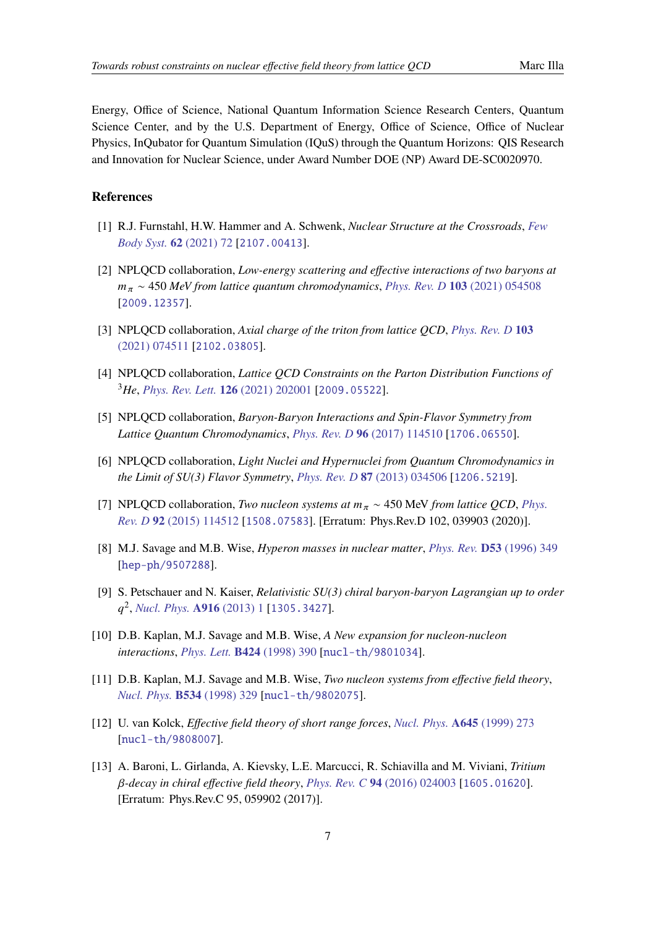Energy, Office of Science, National Quantum Information Science Research Centers, Quantum Science Center, and by the U.S. Department of Energy, Office of Science, Office of Nuclear Physics, InQubator for Quantum Simulation (IQuS) through the Quantum Horizons: QIS Research and Innovation for Nuclear Science, under Award Number DOE (NP) Award DE-SC0020970.

## **References**

- <span id="page-6-0"></span>[1] R.J. Furnstahl, H.W. Hammer and A. Schwenk, *Nuclear Structure at the Crossroads*, *[Few](https://doi.org/10.1007/s00601-021-01658-5) [Body Syst.](https://doi.org/10.1007/s00601-021-01658-5)* **62** (2021) 72 [[2107.00413](https://arxiv.org/abs/2107.00413)].
- <span id="page-6-1"></span>[2] NPLQCD collaboration, *Low-energy scattering and effective interactions of two baryons at*  $m_{\pi} \sim 450$  *MeV from lattice quantum chromodynamics, [Phys. Rev. D](https://doi.org/10.1103/PhysRevD.103.054508)* 103 (2021) 054508 [[2009.12357](https://arxiv.org/abs/2009.12357)].
- <span id="page-6-2"></span>[3] NPLQCD collaboration, *Axial charge of the triton from lattice QCD*, *[Phys. Rev. D](https://doi.org/10.1103/PhysRevD.103.074511)* **103** [\(2021\) 074511](https://doi.org/10.1103/PhysRevD.103.074511) [[2102.03805](https://arxiv.org/abs/2102.03805)].
- <span id="page-6-3"></span>[4] NPLQCD collaboration, *Lattice QCD Constraints on the Parton Distribution Functions of* <sup>3</sup>*He*, *[Phys. Rev. Lett.](https://doi.org/10.1103/PhysRevLett.126.202001)* **126** (2021) 202001 [[2009.05522](https://arxiv.org/abs/2009.05522)].
- <span id="page-6-4"></span>[5] NPLQCD collaboration, *Baryon-Baryon Interactions and Spin-Flavor Symmetry from Lattice Quantum Chromodynamics*, *[Phys. Rev. D](https://doi.org/10.1103/PhysRevD.96.114510)* **96** (2017) 114510 [[1706.06550](https://arxiv.org/abs/1706.06550)].
- <span id="page-6-5"></span>[6] NPLQCD collaboration, *Light Nuclei and Hypernuclei from Quantum Chromodynamics in the Limit of SU(3) Flavor Symmetry*, *[Phys. Rev. D](https://doi.org/10.1103/PhysRevD.87.034506)* **87** (2013) 034506 [[1206.5219](https://arxiv.org/abs/1206.5219)].
- <span id="page-6-6"></span>[7] NPLQCD collaboration, *Two nucleon systems at*  $m_\pi \sim 450$  MeV *from lattice QCD*, *[Phys.](https://doi.org/10.1103/PhysRevD.92.114512) Rev. D* **92** [\(2015\) 114512](https://doi.org/10.1103/PhysRevD.92.114512) [[1508.07583](https://arxiv.org/abs/1508.07583)]. [Erratum: Phys.Rev.D 102, 039903 (2020)].
- <span id="page-6-7"></span>[8] M.J. Savage and M.B. Wise, *Hyperon masses in nuclear matter*, *[Phys. Rev.](https://doi.org/10.1103/PhysRevD.53.349)* **D53** (1996) 349 [[hep-ph/9507288](https://arxiv.org/abs/hep-ph/9507288)].
- <span id="page-6-8"></span>[9] S. Petschauer and N. Kaiser, *Relativistic SU(3) chiral baryon-baryon Lagrangian up to order* 2 , *[Nucl. Phys.](https://doi.org/10.1016/j.nuclphysa.2013.07.010)* **A916** (2013) 1 [[1305.3427](https://arxiv.org/abs/1305.3427)].
- <span id="page-6-9"></span>[10] D.B. Kaplan, M.J. Savage and M.B. Wise, *A New expansion for nucleon-nucleon interactions*, *[Phys. Lett.](https://doi.org/10.1016/S0370-2693(98)00210-X)* **B424** (1998) 390 [[nucl-th/9801034](https://arxiv.org/abs/nucl-th/9801034)].
- [11] D.B. Kaplan, M.J. Savage and M.B. Wise, *Two nucleon systems from effective field theory*, *[Nucl. Phys.](https://doi.org/10.1016/S0550-3213(98)00440-4)* **B534** (1998) 329 [[nucl-th/9802075](https://arxiv.org/abs/nucl-th/9802075)].
- <span id="page-6-10"></span>[12] U. van Kolck, *Effective field theory of short range forces*, *[Nucl. Phys.](https://doi.org/10.1016/S0375-9474(98)00612-5)* **A645** (1999) 273 [[nucl-th/9808007](https://arxiv.org/abs/nucl-th/9808007)].
- <span id="page-6-11"></span>[13] A. Baroni, L. Girlanda, A. Kievsky, L.E. Marcucci, R. Schiavilla and M. Viviani, *Tritium -decay in chiral effective field theory*, *[Phys. Rev. C](https://doi.org/10.1103/PhysRevC.94.024003)* **94** (2016) 024003 [[1605.01620](https://arxiv.org/abs/1605.01620)]. [Erratum: Phys.Rev.C 95, 059902 (2017)].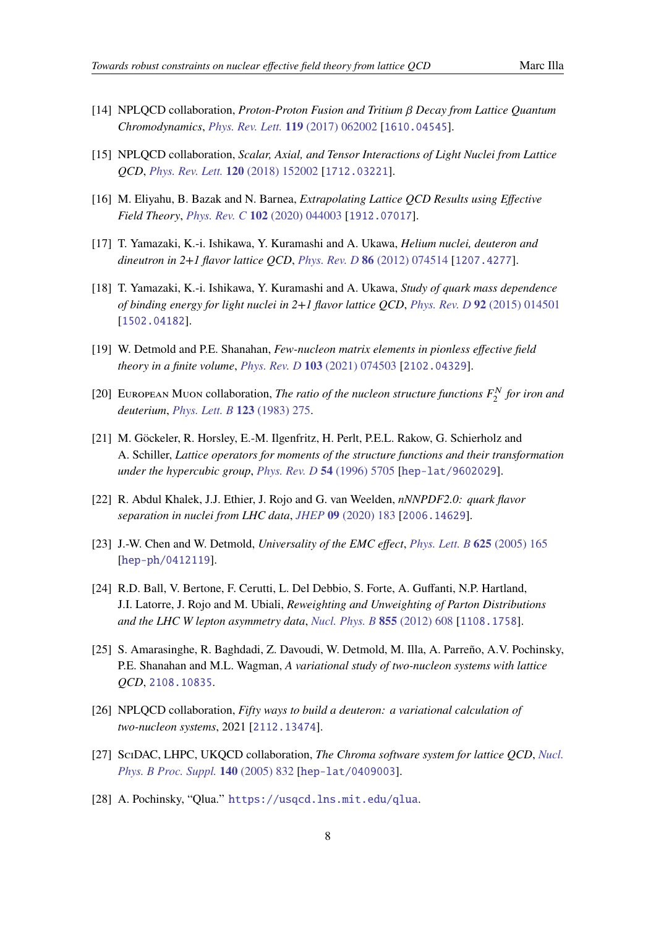- <span id="page-7-0"></span>[14] NPLQCD collaboration, *Proton-Proton Fusion and Tritium Decay from Lattice Quantum Chromodynamics*, *[Phys. Rev. Lett.](https://doi.org/10.1103/PhysRevLett.119.062002)* **119** (2017) 062002 [[1610.04545](https://arxiv.org/abs/1610.04545)].
- <span id="page-7-1"></span>[15] NPLQCD collaboration, *Scalar, Axial, and Tensor Interactions of Light Nuclei from Lattice QCD*, *[Phys. Rev. Lett.](https://doi.org/10.1103/PhysRevLett.120.152002)* **120** (2018) 152002 [[1712.03221](https://arxiv.org/abs/1712.03221)].
- <span id="page-7-2"></span>[16] M. Eliyahu, B. Bazak and N. Barnea, *Extrapolating Lattice QCD Results using Effective Field Theory*, *[Phys. Rev. C](https://doi.org/10.1103/PhysRevC.102.044003)* **102** (2020) 044003 [[1912.07017](https://arxiv.org/abs/1912.07017)].
- <span id="page-7-3"></span>[17] T. Yamazaki, K.-i. Ishikawa, Y. Kuramashi and A. Ukawa, *Helium nuclei, deuteron and dineutron in 2+1 flavor lattice QCD*, *[Phys. Rev. D](https://doi.org/10.1103/PhysRevD.86.074514)* **86** (2012) 074514 [[1207.4277](https://arxiv.org/abs/1207.4277)].
- <span id="page-7-4"></span>[18] T. Yamazaki, K.-i. Ishikawa, Y. Kuramashi and A. Ukawa, *Study of quark mass dependence of binding energy for light nuclei in 2+1 flavor lattice QCD*, *[Phys. Rev. D](https://doi.org/10.1103/PhysRevD.92.014501)* **92** (2015) 014501 [[1502.04182](https://arxiv.org/abs/1502.04182)].
- <span id="page-7-5"></span>[19] W. Detmold and P.E. Shanahan, *Few-nucleon matrix elements in pionless effective field theory in a finite volume*, *[Phys. Rev. D](https://doi.org/10.1103/PhysRevD.103.074503)* **103** (2021) 074503 [[2102.04329](https://arxiv.org/abs/2102.04329)].
- <span id="page-7-7"></span>[20] European Muon collaboration, *The ratio of the nucleon structure functions*  $F_2^N$  *for iron and deuterium*, *[Phys. Lett. B](https://doi.org/10.1016/0370-2693(83)90437-9)* **123** (1983) 275.
- <span id="page-7-8"></span>[21] M. Göckeler, R. Horsley, E.-M. Ilgenfritz, H. Perlt, P.E.L. Rakow, G. Schierholz and A. Schiller, *Lattice operators for moments of the structure functions and their transformation under the hypercubic group*, *[Phys. Rev. D](https://doi.org/10.1103/PhysRevD.54.5705)* **54** (1996) 5705 [[hep-lat/9602029](https://arxiv.org/abs/hep-lat/9602029)].
- <span id="page-7-6"></span>[22] R. Abdul Khalek, J.J. Ethier, J. Rojo and G. van Weelden, *nNNPDF2.0: quark flavor separation in nuclei from LHC data*, *JHEP* **09** [\(2020\) 183](https://doi.org/10.1007/JHEP09(2020)183) [[2006.14629](https://arxiv.org/abs/2006.14629)].
- <span id="page-7-9"></span>[23] J.-W. Chen and W. Detmold, *Universality of the EMC effect*, *[Phys. Lett. B](https://doi.org/10.1016/j.physletb.2005.08.041)* **625** (2005) 165 [[hep-ph/0412119](https://arxiv.org/abs/hep-ph/0412119)].
- <span id="page-7-10"></span>[24] R.D. Ball, V. Bertone, F. Cerutti, L. Del Debbio, S. Forte, A. Guffanti, N.P. Hartland, J.I. Latorre, J. Rojo and M. Ubiali, *Reweighting and Unweighting of Parton Distributions and the LHC W lepton asymmetry data*, *[Nucl. Phys. B](https://doi.org/10.1016/j.nuclphysb.2011.10.018)* **855** (2012) 608 [[1108.1758](https://arxiv.org/abs/1108.1758)].
- <span id="page-7-11"></span>[25] S. Amarasinghe, R. Baghdadi, Z. Davoudi, W. Detmold, M. Illa, A. Parreño, A.V. Pochinsky, P.E. Shanahan and M.L. Wagman, *A variational study of two-nucleon systems with lattice QCD*, [2108.10835](https://arxiv.org/abs/2108.10835).
- <span id="page-7-12"></span>[26] NPLQCD collaboration, *Fifty ways to build a deuteron: a variational calculation of two-nucleon systems*, 2021 [[2112.13474](https://arxiv.org/abs/2112.13474)].
- <span id="page-7-13"></span>[27] SciDAC, LHPC, UKQCD collaboration, *The Chroma software system for lattice QCD*, *[Nucl.](https://doi.org/10.1016/j.nuclphysbps.2004.11.254) [Phys. B Proc. Suppl.](https://doi.org/10.1016/j.nuclphysbps.2004.11.254)* **140** (2005) 832 [[hep-lat/0409003](https://arxiv.org/abs/hep-lat/0409003)].
- <span id="page-7-14"></span>[28] A. Pochinsky, "Qlua." <https://usqcd.lns.mit.edu/qlua>.